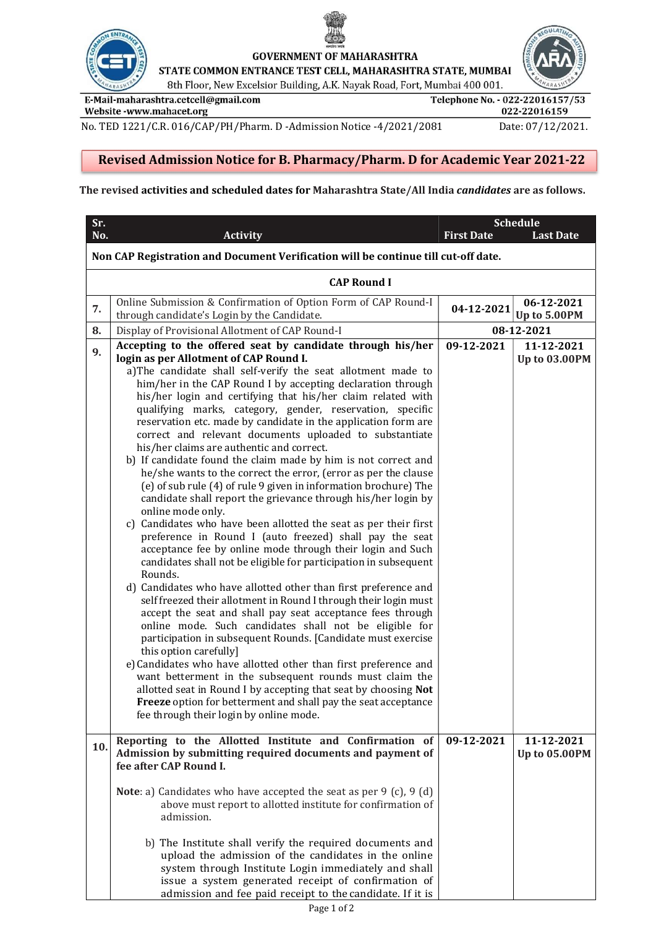



**GOVERNMENT OF MAHARASHTRA** 

STATE COMMON ENTRANCE TEST CELL, MAHARASHTRA STATE, MUMBAI

8th Floor, New Excelsior Building, A.K. Nayak Road, Fort, Mumbai 400 001.

E-Mail-maharashtra.cetcell@gmail.com Website -www.mahacet.org

Telephone No. - 022-22016157/53 022-22016159

No. TED 1221/C.R. 016/CAP/PH/Pharm. D -Admission Notice -4/2021/2081 Date: 07/12/2021.

## Revised Admission Notice for B. Pharmacy/Pharm. D for Academic Year 2021-22

## The revised activities and scheduled dates for Maharashtra State/All India candidates are as follows.

| Sr.<br>No.                                                                         | <b>Activity</b>                                                                                                             | <b>First Date</b> | <b>Schedule</b><br><b>Last Date</b> |  |  |  |
|------------------------------------------------------------------------------------|-----------------------------------------------------------------------------------------------------------------------------|-------------------|-------------------------------------|--|--|--|
|                                                                                    |                                                                                                                             |                   |                                     |  |  |  |
| Non CAP Registration and Document Verification will be continue till cut-off date. |                                                                                                                             |                   |                                     |  |  |  |
|                                                                                    | <b>CAP Round I</b>                                                                                                          |                   |                                     |  |  |  |
| 7.                                                                                 | Online Submission & Confirmation of Option Form of CAP Round-I<br>through candidate's Login by the Candidate.               | 04-12-2021        | 06-12-2021<br>Up to 5.00PM          |  |  |  |
| 8.                                                                                 | Display of Provisional Allotment of CAP Round-I                                                                             | 08-12-2021        |                                     |  |  |  |
| 9.                                                                                 | Accepting to the offered seat by candidate through his/her                                                                  | 09-12-2021        | 11-12-2021                          |  |  |  |
|                                                                                    | login as per Allotment of CAP Round I.                                                                                      |                   | Up to 03.00PM                       |  |  |  |
|                                                                                    | a)The candidate shall self-verify the seat allotment made to<br>him/her in the CAP Round I by accepting declaration through |                   |                                     |  |  |  |
|                                                                                    | his/her login and certifying that his/her claim related with                                                                |                   |                                     |  |  |  |
|                                                                                    | qualifying marks, category, gender, reservation, specific                                                                   |                   |                                     |  |  |  |
|                                                                                    | reservation etc. made by candidate in the application form are                                                              |                   |                                     |  |  |  |
|                                                                                    | correct and relevant documents uploaded to substantiate                                                                     |                   |                                     |  |  |  |
|                                                                                    | his/her claims are authentic and correct.                                                                                   |                   |                                     |  |  |  |
|                                                                                    | b) If candidate found the claim made by him is not correct and                                                              |                   |                                     |  |  |  |
|                                                                                    | he/she wants to the correct the error, (error as per the clause                                                             |                   |                                     |  |  |  |
|                                                                                    | (e) of sub rule (4) of rule 9 given in information brochure) The                                                            |                   |                                     |  |  |  |
|                                                                                    | candidate shall report the grievance through his/her login by<br>online mode only.                                          |                   |                                     |  |  |  |
|                                                                                    | c) Candidates who have been allotted the seat as per their first                                                            |                   |                                     |  |  |  |
|                                                                                    | preference in Round I (auto freezed) shall pay the seat                                                                     |                   |                                     |  |  |  |
|                                                                                    | acceptance fee by online mode through their login and Such                                                                  |                   |                                     |  |  |  |
|                                                                                    | candidates shall not be eligible for participation in subsequent                                                            |                   |                                     |  |  |  |
|                                                                                    | Rounds.                                                                                                                     |                   |                                     |  |  |  |
|                                                                                    | d) Candidates who have allotted other than first preference and                                                             |                   |                                     |  |  |  |
|                                                                                    | self freezed their allotment in Round I through their login must                                                            |                   |                                     |  |  |  |
|                                                                                    | accept the seat and shall pay seat acceptance fees through<br>online mode. Such candidates shall not be eligible for        |                   |                                     |  |  |  |
|                                                                                    | participation in subsequent Rounds. [Candidate must exercise                                                                |                   |                                     |  |  |  |
|                                                                                    | this option carefully]                                                                                                      |                   |                                     |  |  |  |
|                                                                                    | e) Candidates who have allotted other than first preference and                                                             |                   |                                     |  |  |  |
|                                                                                    | want betterment in the subsequent rounds must claim the                                                                     |                   |                                     |  |  |  |
|                                                                                    | allotted seat in Round I by accepting that seat by choosing Not                                                             |                   |                                     |  |  |  |
|                                                                                    | Freeze option for betterment and shall pay the seat acceptance                                                              |                   |                                     |  |  |  |
|                                                                                    | fee through their login by online mode.                                                                                     |                   |                                     |  |  |  |
|                                                                                    | Reporting to the Allotted Institute and Confirmation of                                                                     | 09-12-2021        | 11-12-2021                          |  |  |  |
| 10.                                                                                | Admission by submitting required documents and payment of                                                                   |                   | <b>Up to 05.00PM</b>                |  |  |  |
|                                                                                    | fee after CAP Round I.                                                                                                      |                   |                                     |  |  |  |
|                                                                                    | <b>Note</b> : a) Candidates who have accepted the seat as per $9$ (c), $9$ (d)                                              |                   |                                     |  |  |  |
|                                                                                    | above must report to allotted institute for confirmation of                                                                 |                   |                                     |  |  |  |
|                                                                                    | admission.                                                                                                                  |                   |                                     |  |  |  |
|                                                                                    |                                                                                                                             |                   |                                     |  |  |  |
|                                                                                    | b) The Institute shall verify the required documents and                                                                    |                   |                                     |  |  |  |
|                                                                                    | upload the admission of the candidates in the online                                                                        |                   |                                     |  |  |  |
|                                                                                    | system through Institute Login immediately and shall                                                                        |                   |                                     |  |  |  |
|                                                                                    | issue a system generated receipt of confirmation of                                                                         |                   |                                     |  |  |  |
|                                                                                    | admission and fee paid receipt to the candidate. If it is                                                                   |                   |                                     |  |  |  |